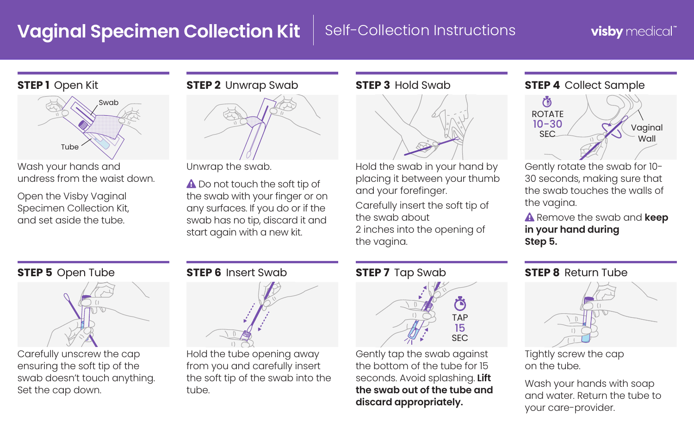## **Vaginal Specimen Collection Kit** | Self-Collection Instructions

## visby medical"

### **STEP 1** Open Kit



Wash your hands and undress from the waist down.

Open the Visby Vaginal Specimen Collection Kit, and set aside the tube.





Unwrap the swab.

A Do not touch the soft tip of the swab with your finger or on any surfaces. If you do or if the swab has no tip, discard it and start again with a new kit.

### **STEP 3** Hold Swab



Hold the swab in your hand by placing it between your thumb and your forefinger.

Carefully insert the soft tip of the swab about 2 inches into the opening of the vagina.

### **STEP 4** Collect Sample



Gently rotate the swab for 10- 30 seconds, making sure that the swab touches the walls of the vagina.

 Remove the swab and **keep in your hand during Step 5.**

### **STEP 5** Open Tube



Carefully unscrew the cap ensuring the soft tip of the swab doesn't touch anything. Set the cap down.

### **STEP 6** Insert Swab



Hold the tube opening away from you and carefully insert the soft tip of the swab into the tube.

### **STEP 7** Tap Swab



Gently tap the swab against the bottom of the tube for 15 seconds. Avoid splashing. **Lift the swab out of the tube and discard appropriately.** 

### **STEP 8** Return Tube



Tightly screw the cap on the tube.

Wash your hands with soap and water. Return the tube to your care-provider.